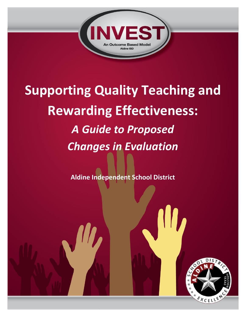

# **Supporting Quality Teaching and Rewarding Effectiveness:** *A Guide to Proposed Changes in Evaluation*

**Aldine Independent School District**

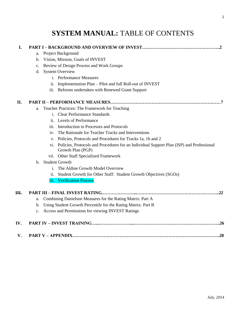# **SYSTEM MANUAL:** TABLE OF CONTENTS

| I.  |                |                                                                                                                   |  |  |  |  |
|-----|----------------|-------------------------------------------------------------------------------------------------------------------|--|--|--|--|
|     | a.             | Project Background                                                                                                |  |  |  |  |
|     | b.             | Vision, Mission, Goals of INVEST                                                                                  |  |  |  |  |
|     | $\mathbf{c}$ . | Review of Design Process and Work Groups                                                                          |  |  |  |  |
|     | d.             | <b>System Overview</b>                                                                                            |  |  |  |  |
|     |                | i. Performance Measures                                                                                           |  |  |  |  |
|     |                | Implementation Plan - Pilot and full Roll-out of INVEST<br>11.                                                    |  |  |  |  |
|     |                | iii. Reforms undertaken with Renewed Grant Support                                                                |  |  |  |  |
| II. |                |                                                                                                                   |  |  |  |  |
|     | a.             | Teacher Practices: The Framework for Teaching                                                                     |  |  |  |  |
|     |                | i. Clear Performance Standards                                                                                    |  |  |  |  |
|     |                | ii. Levels of Performance                                                                                         |  |  |  |  |
|     |                | Introduction to Processes and Protocols<br>iii.                                                                   |  |  |  |  |
|     |                | The Rationale for Teacher Tracks and Interventions<br>iv.                                                         |  |  |  |  |
|     |                | Policies, Protocols and Procedures for Tracks 1a, 1b and 2<br>V.                                                  |  |  |  |  |
|     |                | vi. Policies, Protocols and Procedures for an Individual Support Plan (ISP) and Professional<br>Growth Plan (PGP) |  |  |  |  |
|     |                | vii. Other Staff Specialized Framework                                                                            |  |  |  |  |
|     |                | b. Student Growth                                                                                                 |  |  |  |  |
|     |                | The Aldine Growth Model Overview<br>i.                                                                            |  |  |  |  |
|     |                | Student Growth for Other Staff: Student Growth Objectives (SGOs)<br>ii.                                           |  |  |  |  |
|     |                | <b>Verification Process</b><br>iїi.                                                                               |  |  |  |  |
| Ш.  |                | .22                                                                                                               |  |  |  |  |
|     | a.             | Combining Danielson Measures for the Rating Matrix: Part A                                                        |  |  |  |  |
|     | b.             | Using Student Growth Percentile for the Rating Matrix: Part B                                                     |  |  |  |  |
|     | $\mathbf{c}$ . | Access and Permissions for viewing INVEST Ratings                                                                 |  |  |  |  |
| IV. |                | .26                                                                                                               |  |  |  |  |
| V.  |                | .28                                                                                                               |  |  |  |  |
|     |                |                                                                                                                   |  |  |  |  |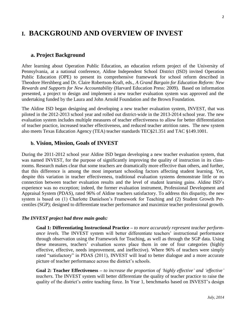# **I. BACKGROUND AND OVERVIEW OF INVEST**

#### **a. Project Background**

After learning about Operation Public Education, an education reform project of the University of Pennsylvania, at a national conference, Aldine Independent School District (ISD) invited Operation Public Education (OPE) to present its comprehensive framework for school reform described in Theodore Hershberg and Dr. Claire Robertson-Kraft, eds., *A Grand Bargain for Education Reform: New Rewards and Supports for New Accountability* (Harvard Education Press: 2009). Based on information presented, a project to design and implement a new teacher evaluation system was approved and the undertaking funded by the Laura and John Arnold Foundation and the Brown Foundation.

The Aldine ISD began designing and developing a new teacher evaluation system, INVEST, that was piloted in the 2012-2013 school year and rolled out district-wide in the 2013-2014 school year. The new evaluation system includes multiple measures of teacher effectiveness to allow for better differentiation of teacher practice, increased teacher effectiveness, and reduced teacher attrition rates. The new system also meets Texas Education Agency (TEA) teacher standards TEC§21.351 and TAC §149.1001.

#### **b. Vision, Mission, Goals of INVEST**

During the 2011-2012 school year Aldine ISD began developing a new teacher evaluation system, that was named INVEST, for the purpose of significantly improving the quality of instruction in its classrooms. Research makes clear that some teachers are dramatically more effective than others, and further, that this difference is among the most important schooling factors affecting student learning. Yet, despite this variation in teacher effectiveness, traditional evaluation systems demonstrate little or no connection between teacher evaluation results and the level of student learning gains. Aldine ISD's experience was no exception; indeed, the former evaluation instrument, Professional Development and Appraisal System (PDAS), rated 96% of Aldine teachers satisfactory. To address this disparity, the new system is based on (1) Charlotte Danielson's Framework for Teaching and (2) Student Growth Percentiles (SGP); designed to differentiate teacher performance and maximize teacher professional growth.

#### *The INVEST project had three main goals:*

**Goal 1: Differentiating Instructional Practice –** *to more accurately represent teacher performance levels.* The INVEST system will better differentiate teachers' instructional performance through observation using the Framework for Teaching, as well as through the SGP data. Using these measures, teachers' evaluation scores place them in one of four categories (highly effective, effective, needs improvement, and ineffective). Where 96% of teachers were simply rated "satisfactory" in PDAS (2011), INVEST will lead to better dialogue and a more accurate picture of teacher performance across the district's schools.

**Goal 2: Teacher Effectiveness –** *to increase the proportion of 'highly effective' and 'effective' teachers.* The INVEST system will better differentiate the quality of teacher practice to raise the quality of the district's entire teaching force. In Year 1, benchmarks based on INVEST's design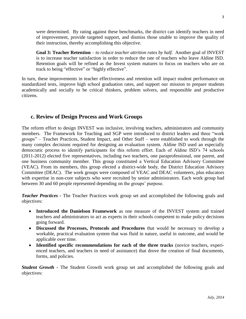were determined. By rating against these benchmarks, the district can identify teachers in need of improvement, provide targeted support, and dismiss those unable to improve the quality of their instruction, thereby accomplishing this objective.

**Goal 3: Teacher Retention** – *to reduce teacher attrition rates by half.* Another goal of INVEST is to increase teacher satisfaction in order to reduce the rate of teachers who leave Aldine ISD. Retention goals will be refined as the Invest system matures to focus on teachers who are on track to being "effective" or "highly effective".

In turn, these improvements in teacher effectiveness and retention will impact student performance on standardized tests, improve high school graduation rates, and support our mission to prepare students academically and socially to be critical thinkers, problem solvers, and responsible and productive citizens.

#### **c. Review of Design Process and Work Groups**

The reform effort to design INVEST was inclusive, involving teachers, administrators and community members. The Framework for Teaching and SGP were introduced to district leaders and three "work groups" – Teacher Practices, Student Impact, and Other Staff – were established to work through the many complex decisions required for designing an evaluation system. Aldine ISD used an especially democratic process to identify participants for this reform effort. Each of Aldine ISD's 74 schools (2011-2012) elected five representatives, including two teachers, one paraprofessional, one parent, and one business community member. This group constituted a Vertical Education Advisory Committee (VEAC). From its members, this group elected a district-wide body, the District Education Advisory Committee (DEAC). The work groups were composed of VEAC and DEAC volunteers, plus educators with expertise in non-core subjects who were recruited by senior administrators. Each work group had between 30 and 60 people represented depending on the groups' purpose.

*Teacher Practices -* The Teacher Practices work group set and accomplished the following goals and objectives:

- **Introduced the Danielson Framework** as one measure of the INVEST system and trained teachers and administrators to act as experts in their schools competent to make policy decisions going forward.
- **Discussed the Processes, Protocols and Procedures** that would be necessary to develop a workable, practical evaluation system that was fluid in nature, useful in outcome, and would be applicable over time.
- **Identified specific recommendations for each of the three tracks** (novice teachers, experienced teachers, and teachers in need of assistance) that drove the creation of final documents, forms, and policies.

*Student Growth -* The Student Growth work group set and accomplished the following goals and objectives: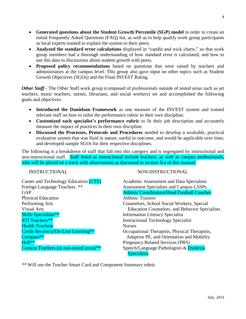- **Generated questions about the Student Growth Percentile (SGP) model** in order to create an initial Frequently Asked Questions (FAQ) list, as well as to help qualify work group participants as local experts trained to explain the system to their peers.
- **Analyzed the standard error calculations** displayed in "candle and wick charts," so that work group members had a thorough understanding of how standard error is calculated, and how to use this data in discussions about student growth with peers.
- **Proposed policy recommendations** based on questions that were raised by teachers and administrators at the campus level. This group also gave input on other topics such as Student Growth Objectives (SGOs) and the Final INVEST Rating.

*Other Staff* - The Other Staff work group (composed of professionals outside of tested areas such as art teachers, music teachers, nurses, librarians, and social workers) set and accomplished the following goals and objectives:

- **Introduced the Danielson Framework** as one measure of the INVEST system and trained relevant staff on how to tailor the performance rubric to their own discipline.
- **Customized each specialist's performance rubric** to fit their job description and accurately measure the impact of practices in their own discipline.
- **Discussed the Processes, Protocols and Procedures** needed to develop a workable, practical evaluation system that was fluid in nature, useful in outcome, and would be applicable over time; and developed sample SGOs for their respective disciplines.

The following is a breakdown of staff that fall into this category and is segregated by instructional and non-instructional staff. Staff listed as instructional include teachers, as well as campus professionals, who will be placed on a track with observations as discussed in section II.a of this manual.

Physical Education **Athletic Trainers** Skills Specialists<sup>\*\*</sup> Information Literacy Specialist RTI Teachers\*\* Instructional Technology Specialist Health Teachers **Nurses** Nurses Hall\*\* Pregnancy Related Services (PRS)

#### INSTRUCTIONAL NON-INSTRUCTIONAL

Career and Technology Education (CTE) Academic Assessment and Data Specialists Foreign Language Teachers \*\* Assessment Specialists and Campus LSSPs GAP Athletic Coordinators/Head Football Coaches Performing Arts Counselors, School Social Workers, Special Visual Arts Education Counselors, and Behavior Specialists Credit Recovery/On-Line Learning\*\* Cocupational Therapists, Physical Therapists, Compass<sup>\*\*</sup> Adaptive PE, and Orientation and Mobility Content Teachers (in non-tested areas)<sup>\*\*</sup> Speech/Language Pathologists & Dyslexia **Specialists** 

\*\* Will use the Teacher Smart Card and Component Summary rubric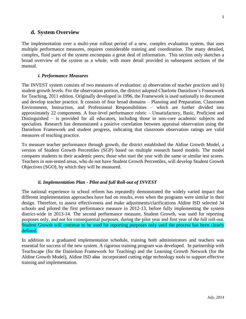#### **d. System Overview**

The implementation over a multi-year rollout period of a new, complex evaluation system, that uses multiple performance measures, requires considerable training and coordination. The many detailed, complex, fluid parts of the system encompass a great deal of information. This section only sketches a broad overview of the system as a whole, with more detail provided in subsequent sections of the manual.

#### *i. Performance Measures*

The INVEST system consists of two measures of evaluation: a) observation of teacher practices and b) student growth levels. For the observation portion, the district adopted Charlotte Danielson's Framework for Teaching, 2011 edition. Originally developed in 1996, the Framework is used nationally to document and develop teacher practice. It consists of four broad domains – Planning and Preparation, Classroom Environment, Instruction, and Professional Responsibilities – which are further divided into approximately 22 components. A four-level performance rubric – Unsatisfactory, Basic, Proficient and Distinguished – is provided for all educators, including those in non-core academic subjects and specialists. Research has demonstrated a positive correlation between appraisal observation using the Danielson Framework and student progress, indicating that classroom observation ratings are valid measures of teaching practice.

To measure teacher performance through growth, the district established the Aldine Growth Model, a version of Student Growth Percentiles (SGP) based on multiple research based models. The model compares students to their academic peers; those who start the year with the same or similar test scores. Teachers in non-tested areas, who do not have Student Growth Percentiles, will develop Student Growth Objectives (SGO), by which they will be measured.

#### *ii. Implementation Plan - Pilot and full Roll-out of INVEST*

The national experience in school reform has repeatedly demonstrated the widely varied impact that different implementation approaches have had on results, even when the programs were similar in their design. Therefore, to assess effectiveness and make adjustments/clarifications Aldine ISD selected 34 schools and piloted the first performance measure in 2012-13, before fully implementing the system district-wide in 2013-14. The second performance measure, Student Growth, was used for reporting purposes only, and not for consequential purposes, during the pilot year and first year of the full roll-out. Student Growth will continue to be used for reporting purposes only until the process has been clearly defined.

In addition to a graduated implementation schedule, training both administrators and teachers was essential for success of the new system. A rigorous training program was developed. In partnership with Teachscape (for the Danielson Framework for Teaching) and the Learning Growth Network (for the Aldine Growth Model), Aldine ISD also incorporated cutting edge technology tools to support effective training and implementation.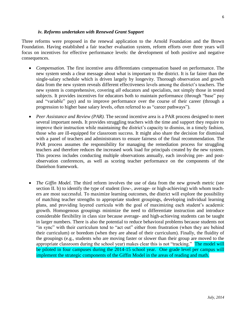Three reforms were proposed in the renewal application to the Arnold Foundation and the Brown

*iv. Reforms undertaken with Renewed Grant Support*

consequences.

- *Compensation.* The first incentive area differentiates compensation based on performance. The new system sends a clear message about what is important to the district. It is far fairer than the single-salary schedule which is driven largely by longevity. Thorough observation and growth data from the new system reveals different effectiveness levels among the district's teachers. The new system is comprehensive, covering *all* educators and specialists, not simply those in tested subjects. It provides incentives for educators both to maintain performance (through "base" pay and "variable" pay) and to improve performance over the course of their career (through a progression to higher base salary levels, often referred to as "career pathways").
- *Peer Assistance and Review (PAR).* The second incentive area is a PAR process designed to meet several important needs. It provides struggling teachers with the time and support they require to improve their instruction while maintaining the district's capacity to dismiss, in a timely fashion, those who are ill-equipped for classroom success. It might also share the decision for dismissal with a panel of teachers and administrators to ensure fairness of the final recommendation. The PAR process assumes the responsibility for managing the remediation process for struggling teachers and therefore reduces the increased work load for principals created by the new system. This process includes conducting multiple observations annually, each involving pre- and postobservation conferences, as well as scoring teacher performance on the components of the Danielson framework.
- *The Giffin Model.* The third reform involves the use of data from the new growth metric (see section II. b) to identify the type of student (low-, average- or high-achieving) with whom teachers are most successful. To maximize learning outcomes, the district will explore the possibility of matching teacher strengths to appropriate student groupings, developing individual learning plans, and providing layered curricula with the goal of maximizing each student's academic growth. Homogenous groupings minimize the need to differentiate instruction and introduce considerable flexibility in class size because average- and high-achieving students can be taught in larger numbers. There is also the potential to reduce behavioral problems because students not "in sync" with their curriculum tend to "act out" either from frustration (when they are behind their curriculum) or boredom (when they are ahead of their curriculum). Finally, the fluidity of the groupings (e.g., students who are moving faster or slower than their group are moved to the appropriate classroom during the school year) makes clear this is not "tracking." The model will be piloted in four campuses during the 2014-15 school year. One grade level per campus will implement the strategic components of the Giffin Model in the areas of reading and math.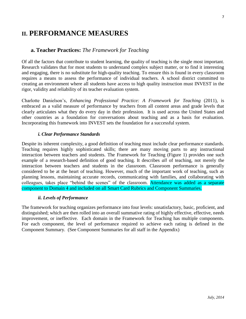## **II. PERFORMANCE MEASURES**

#### **a. Teacher Practices:** *The Framework for Teaching*

Of all the factors that contribute to student learning, the quality of teaching is the single most important. Research validates that for most students to understand complex subject matter, or to find it interesting and engaging, there is no substitute for high-quality teaching. To ensure this is found in every classroom requires a means to assess the performance of individual teachers. A school district committed to creating an environment where all students have access to high quality instruction must INVEST in the rigor, validity and reliability of its teacher evaluation system.

Charlotte Danielson's, *Enhancing Professional Practice: A Framework for Teaching* (2011), is embraced as a valid measure of performance by teachers from all content areas and grade levels that clearly articulates what they do every day in their profession. It is used across the United States and other countries as a foundation for conversations about teaching and as a basis for evaluation. Incorporating this framework into INVEST sets the foundation for a successful system.

#### *i. Clear Performance Standards*

Despite its inherent complexity, a good definition of teaching must include clear performance standards. Teaching requires highly sophisticated skills; there are many moving parts to any instructional interaction between teachers and students. The Framework for Teaching (Figure 1) provides one such example of a research-based definition of good teaching. It describes *all* of teaching, not merely the interaction between teachers and students in the classroom. Classroom performance is generally considered to be at the heart of teaching. However, much of the important work of teaching, such as planning lessons, maintaining accurate records, communicating with families, and collaborating with colleagues, takes place "behind the scenes" of the classroom. Attendance was added as a separate component to Domain 4 and included on all Smart Card Rubrics and Component Summaries.

#### *ii. Levels of Performance*

The framework for teaching organizes performance into four levels: unsatisfactory, basic, proficient, and distinguished; which are then rolled into an overall summative rating of highly effective, effective, needs improvement, or ineffective. Each domain in the Framework for Teaching has multiple components. For each component, the level of performance required to achieve each rating is defined in the Component Summary. (See Component Summaries for all staff in the Appendix)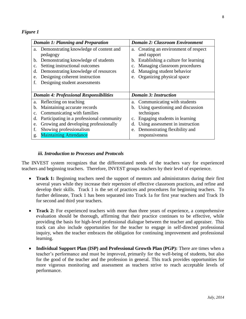#### *Figure 1*

| <b>Domain 1: Planning and Preparation</b>       | <b>Domain 2: Classroom Environment</b>    |  |  |
|-------------------------------------------------|-------------------------------------------|--|--|
| a. Demonstrating knowledge of content and       | a. Creating an environment of respect     |  |  |
| pedagogy                                        | and rapport                               |  |  |
| Demonstrating knowledge of students<br>b.       | Establishing a culture for learning<br>b. |  |  |
| Setting instructional outcomes<br>c.            | Managing classroom procedures<br>c.       |  |  |
| Demonstrating knowledge of resources<br>d.      | Managing student behavior<br>d.           |  |  |
| Designing coherent instruction<br>e.            | Organizing physical space<br>e.           |  |  |
| Designing student assessments<br>f.             |                                           |  |  |
|                                                 |                                           |  |  |
| <b>Domain 4: Professional Responsibilities</b>  | <b>Domain 3: Instruction</b>              |  |  |
| Reflecting on teaching<br>a.                    | a. Communicating with students            |  |  |
|                                                 |                                           |  |  |
| Maintaining accurate records<br>b.              | Using questioning and discussion<br>b.    |  |  |
| Communicating with families<br>c.               | techniques                                |  |  |
| Participating in a professional community<br>d. | Engaging students in learning<br>c.       |  |  |
| Growing and developing professionally<br>e.     | Using assessment in instruction<br>d.     |  |  |
| Showing professionalism<br>f.                   | Demonstrating flexibility and<br>e.       |  |  |

#### *iii. Introduction to Processes and Protocols*

The INVEST system recognizes that the differentiated needs of the teachers vary for experienced teachers and beginning teachers. Therefore, INVEST groups teachers by their level of experience.

- **Track 1:** Beginning teachers need the support of mentors and administrators during their first several years while they increase their repertoire of effective classroom practices, and refine and develop their skills. Track 1 is the set of practices and procedures for beginning teachers. To further delineate, Track 1 has been separated into Track 1a for first year teachers and Track 1b for second and third year teachers.
- **Track 2:** For experienced teachers with more than three years of experience, a comprehensive evaluation should be thorough, affirming that their practice continues to be effective, while providing the basis for high-level professional dialogue between the teacher and appraiser. This track can also include opportunities for the teacher to engage in self-directed professional inquiry, when the teacher embraces the obligation for continuing improvement and professional learning.
- **Individual Support Plan (ISP) and Professional Growth Plan (PGP):** There are times when a teacher's performance and must be improved, primarily for the well-being of students, but also for the good of the teacher and the profession in general. This track provides opportunities for more vigorous monitoring and assessment as teachers strive to reach acceptable levels of performance.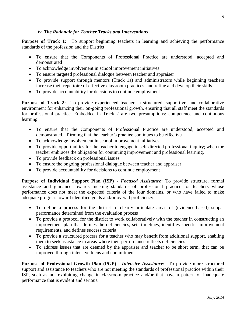#### *iv. The Rationale for Teacher Tracks and Interventions*

**Purpose of Track 1:** To support beginning teachers in learning and achieving the performance standards of the profession and the District.

- To ensure that the Components of Professional Practice are understood, accepted and demonstrated
- To acknowledge involvement in school improvement initiatives
- To ensure targeted professional dialogue between teacher and appraiser
- To provide support through mentors (Track 1a) and administrators while beginning teachers increase their repertoire of effective classroom practices, and refine and develop their skills
- To provide accountability for decisions to continue employment

**Purpose of Track 2:** To provide experienced teachers a structured, supportive, and collaborative environment for enhancing their on-going professional growth, ensuring that all staff meet the standards for professional practice. Embedded in Track 2 are two presumptions: competence and continuous learning.

- To ensure that the Components of Professional Practice are understood, accepted and demonstrated, affirming that the teacher's practice continues to be effective
- To acknowledge involvement in school improvement initiatives
- To provide opportunities for the teacher to engage in self-directed professional inquiry; when the teacher embraces the obligation for continuing improvement and professional learning.
- To provide feedback on professional issues
- To ensure the ongoing professional dialogue between teacher and appraiser
- To provide accountability for decisions to continue employment

**Purpose of Individual Support Plan (ISP) -** *Focused Assistance***:** To provide structure, formal assistance and guidance towards meeting standards of professional practice for teachers whose performance does not meet the expected criteria of the four domains, or who have failed to make adequate progress toward identified goals and/or overall proficiency.

- To define a process for the district to clearly articulate areas of (evidence-based) subpar performance determined from the evaluation process
- To provide a protocol for the district to work collaboratively with the teacher in constructing an improvement plan that defines the deficiencies, sets timelines, identifies specific improvement requirements, and defines success criteria
- To provide a structured process for a teacher who may benefit from additional support, enabling them to seek assistance in areas where their performance reflects deficiencies
- To address issues that are deemed by the appraiser and teacher to be short term, that can be improved through intensive focus and commitment

**Purpose of Professional Growth Plan (PGP) -** *Intensive Assistance***:** To provide more structured support and assistance to teachers who are not meeting the standards of professional practice within their ISP, such as not exhibiting change in classroom practice and/or that have a pattern of inadequate performance that is evident and serious.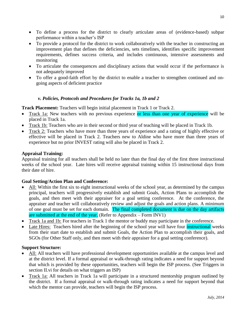- To define a process for the district to clearly articulate areas of (evidence-based) subpar performance within a teacher's ISP
- To provide a protocol for the district to work collaboratively with the teacher in constructing an improvement plan that defines the deficiencies, sets timelines, identifies specific improvement requirements, defines success criteria, and includes continuous, intensive assessments and monitoring
- To articulate the consequences and disciplinary actions that would occur if the performance is not adequately improved
- To offer a good-faith effort by the district to enable a teacher to strengthen continued and ongoing aspects of deficient practice

#### *v. Policies, Protocols and Procedures for Tracks 1a, 1b and 2*

**Track Placement:** Teachers will begin initial placement in Track 1 or Track 2.

- Track 1a: New teachers with no previous experience or less than one year of experience will be placed in Track 1a.
- Track 1b: Teachers who are in their second or third year of teaching will be placed in Track 1b.
- Track 2: Teachers who have more than three years of experience and a rating of highly effective or effective will be placed in Track 2. Teachers new to Aldine who have more than three years of experience but no prior INVEST rating will also be placed in Track 2.

#### **Appraisal Training:**

Appraisal training for all teachers shall be held no later than the final day of the first three instructional weeks of the school year. Late hires will receive appraisal training within 15 instructional days from their date of hire.

#### **Goal Setting/Action Plan and Conference:**

- All: Within the first six to eight instructional weeks of the school year, as determined by the campus principal, teachers will progressively establish and submit Goals, Action Plans to accomplish the goals, and then meet with their appraiser for a goal setting conference. At the conference, the appraiser and teacher will collaboratively review and adjust the goals and action plans. A minimum of one goal must be set for each domain. The final completed document is due on the day artifacts are submitted at the end of the year. (Refer to Appendix – Form INV1)
- Track 1a and 1b: For teachers in Track 1 the mentor or buddy may participate in the conference.
- Late Hires: Teachers hired after the beginning of the school year will have four instructional weeks from their start date to establish and submit Goals, the Action Plan to accomplish their goals, and SGOs (for Other Staff only, and then meet with their appraiser for a goal setting conference).

#### **Support Structure:**

- All: All teachers will have professional development opportunities available at the campus level and at the district level. If a formal appraisal or walk-through rating indicates a need for support beyond that which is provided by these opportunities, teachers will begin the ISP process. (See Triggers in section II.vi for details on what triggers an ISP)
- Track 1a: All teachers in Track 1a will participate in a structured mentorship program outlined by the district. If a formal appraisal or walk-through rating indicates a need for support beyond that which the mentor can provide, teachers will begin the ISP process.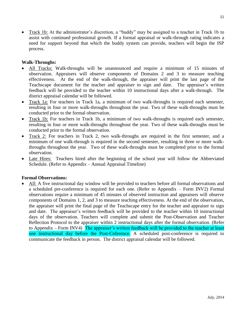Track 1b: At the administrator's discretion, a "buddy" may be assigned to a teacher in Track 1b to assist with continued professional growth. If a formal appraisal or walk-through rating indicates a need for support beyond that which the buddy system can provide, teachers will begin the ISP process.

#### **Walk-Throughs:**

- All Tracks: Walk-throughs will be unannounced and require a minimum of 15 minutes of observation. Appraisers will observe components of Domains 2 and 3 to measure teaching effectiveness. At the end of the walk-through, the appraiser will print the last page of the Teachscape document for the teacher and appraiser to sign and date. The appraiser's written feedback will be provided to the teacher within 10 instructional days after a walk-through. The district appraisal calendar will be followed.
- Track 1a: For teachers in Track 1a, a minimum of two walk-throughs is required each semester, resulting in four or more walk-throughs throughout the year. Two of these walk-throughs must be conducted prior to the formal observation.
- Track 1b: For teachers in Track 1b, a minimum of two walk-throughs is required each semester, resulting in four or more walk-throughs throughout the year. Two of these walk-throughs must be conducted prior to the formal observation.
- Track 2: For teachers in Track 2, two walk-throughs are required in the first semester, and a minimum of one walk-through is required in the second semester, resulting in three or more walkthroughs throughout the year. Two of these walk-throughs must be completed prior to the formal observation.
- Late Hires: Teachers hired after the beginning of the school year will follow the Abbreviated Schedule. (Refer to Appendix – Annual Appraisal Timeline)

#### **Formal Observations:**

 All: A five instructional day window will be provided to teachers before all formal observations and a scheduled pre-conference is required for each one. (Refer to Appendix – Form INV2) Formal observations require a minimum of 45 minutes of observed instruction and appraisers will observe components of Domains 1, 2, and 3 to measure teaching effectiveness. At the end of the observation, the appraiser will print the final page of the Teachscape entry for the teacher and appraiser to sign and date. The appraiser's written feedback will be provided to the teacher within 10 instructional days of the observation. Teachers will complete and submit the Post-Observation and Teacher Reflection Protocol to the appraiser within 2 instructional days after the formal observation. (Refer to Appendix – Form INV4) The appraiser's written feedback will be provided to the teacher at least one instructional day before the Post-Cnference. A scheduled post-conference is required to communicate the feedback in person. The district appraisal calendar will be followed.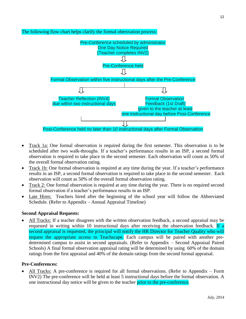

The following flow chart helps clarify the formal obersvation process:

- Track 1a: One formal observation is required during the first semester. This observation is to be scheduled after two walk-throughs. If a teacher's performance results in an ISP, a second formal observation is required to take place in the second semester. Each observation will count as 50% of the overall formal observation rating.
- Track 1b: One formal observation is required at any time during the year. If a teacher's performance results in an ISP, a second formal observation is required to take place in the second semester. Each observation will count as 50% of the overall formal observation rating.
- Track 2: One formal observation is required at any time during the year. There is no required second formal observation if a teacher's performance results in an ISP.
- Late Hires: Teachers hired after the beginning of the school year will follow the Abbreviated Schedule. (Refer to Appendix – Annual Appraisal Timeline)

#### **Second Appraisal Requests:**

 All Tracks: If a teacher disagrees with the written observation feedback, a second appraisal may be requested in writing within 10 instructional days after receiving the observation feedback. If a second appraisal is requested, the principal will notify the HR Director for Teacher Quality who will request the appropriate access to Teachscape. Each campus will be paired with another predetermined campus to assist in second appraisals. (Refer to Appendix – Second Appraisal Paired Schools) A final formal observation appraisal rating will be determined by using 60% of the domain ratings from the first appraisal and 40% of the domain ratings from the second formal appraisal.

#### **Pre-Conferences:**

 All Tracks: A pre-conference is required for all formal observations. (Refer to Appendix – Form INV2) The pre-conference will be held at least 5 instructional days before the formal observation. A one instructional day notice will be given to the teacher prior to the pre-conference.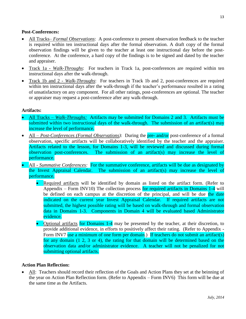#### **Post-Conferences:**

- All Tracks– *Formal Observations*: A post-conference to present observation feedback to the teacher is required within ten instructional days after the formal observation. A draft copy of the formal observation findings will be given to the teacher at least one instructional day before the postconference. At the conference, a hard copy of the findings is to be signed and dated by the teacher and appraiser.
- Track 1a *Walk-Throughs*: For teachers in Track 1a, post-conferences are required within ten instructional days after the walk-through.
- Track 1b and 2 *Walk-Throughs*: For teachers in Track 1b and 2, post-conferences are required within ten instructional days after the walk-through if the teacher's performance resulted in a rating of unsatisfactory on any component. For all other ratings, post-conferences are optional. The teacher or appraiser may request a post-conference after any walk-through.

#### **Artifacts:**

- All Tracks *Walk-Throughs:* Artifacts may be submitted for Domains 2 and 3. Artifacts must be submitted within two instructional days of the walk-through. The submission of an artifact(s) may increase the level of performance.
- All *Post-Conferences (Formal Observations)*: During the pre- and/or post-conference of a formal observation, specific artifacts will be collaboratively identified by the teacher and the appraiser. Artifacts related to the lesson, for Domains 1-3, will be reviewed and discussed during formal observation post-conferences. The submission of an artifact(s) may increase the level of performance.
- All *Summative Conferences:* For the summative conference, artifacts will be due as designated by the Invest Appraisal Calendar. The submission of an artifact(s) may increase the level of performance.
	- Required artifacts will be identified by domain as listed on the artifact form. (Refer to Appendix – Form INV10) The collection process for required artifacts in Domains 1-4 will be defined on each campus at the discretion of the principal, and will be due the date indicated on the current year Invest Appraisal Calendar. If required artifacts are not submitted, the highest possible rating will be based on walk-through and formal observation data in Domains 1-3. Components in Domain 4 will be evaluated based Administrator evidence.
	- Optional artifacts for Domains 1-4 may be presented by the teacher, at their discretion, to provide additional evidence, in efforts to positively affect their rating. (Refer to Appendix - Form INV7 use a minimum of one form per domain.) If teachers do not submit an artifact(s) for any domain (1 2, 3 or 4), the rating for that domain will be determined based on the observation data and/or administrator evidence. A teacher will not be penalized for not submitting optional artifacts.

#### **Action Plan Reflection:**

 All: Teachers should record their reflection of the Goals and Action Plans they set at the beinning of the year on Action Plan Reflection form. (Refer to Appendix – Form INV6) This form will be due at the same time as the Artifacts.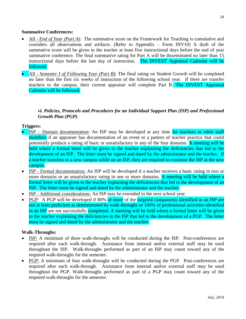- All *End of Year (Part A)*: The summative score on the Framework for Teaching is cumulative and considers all observations and artifacts. (Refer to Appendix – Form INV10) A draft of the summative score will be given to the teacher at least five instructional days before the end of year summative conference. The final summative rating for Part A will be disseminated no later than 15 instructional days before the last day of instruction. The INVEST Appraisal Calendar will be followed.
- All *Semester I of Following Year (Part B)*: The final rating on Student Growth will be completed no later than the first six weeks of instruction of the following school year. If there are transfer teachers to the campus, their current appraiser will complete Part B. The INVEST Appraisal Calendar will be followed.

#### *vi. Policies, Protocols and Procedures for an Individual Support Plan (ISP) and Professional Growth Plan (PGP)*

#### **Triggers:**

- ISP Domain documentation: An ISP may be developed at any time for teachers or other staff members if an appraiser has documentation of an event or a pattern of teacher practice that could potentially produce a rating of basic or unsatisfactory in any of the four domains. A meeting will be held where a formal letter will be given to the teacher explaining the deficiencies that led to the development of an ISP. The letter must be signed and dated by the administrator and the teacher. If a teacher transfers to a new campus while on an ISP, they are required to continue the ISP at the new campus.
- ISP Formal documentation: An ISP will be developed if a teacher receives a basic rating in two or more domains or an unsatisfactory rating in one or more domains. A meeting will be held where a formal letter will be given to the teacher explaining the deficiencies that led to the development of an ISP. The letter must be signed and dated by the administrator and the teacher.
- ISP Additional considerations: An ISP may be extended to the next school year.
- PGP: A PGP will be developed if 80% or more of the targeted components identified in an ISP are not at least proficient as demonstrated by walk-throughs or 100% of professional activities identified in an ISP are not successfully completed. A meeting will be held where a formal letter will be given to the teacher explaining the deficiencies in the ISP that led to the development of a PGP. The letter must be signed and dated by the administrator and the teacher.

#### **Walk-Throughs:**

- ISP: A minimum of three walk-throughs will be conducted during the ISP. Post-conferences are required after each walk-through. Assistance from internal and/or external staff may be used throughout the ISP. Walk-throughs performed as part of an ISP may count toward any of the required walk-throughs for the semester.
- PGP: A minimum of four walk-throughs will be conducted during the PGP. Post-conferences are required after each walk-through. Assistance from internal and/or external staff may be used throughout the PGP. Walk-throughs performed as part of a PGP may count toward any of the required walk-throughs for the semester.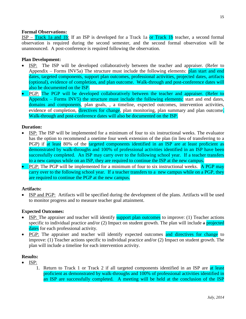#### **Formal Observations:**

ISP – Track 1a and 1b: If an ISP is developed for a Track 1a or Track 1b teacher, a second formal observation is required during the second semester, and the second formal observation will be unannounced. A post-conference is required following the observation.

#### **Plan Development:**

- ISP: The ISP will be developed collaboratively between the teacher and appraiser. (Refer to Appendix – Forms INV5a) The structure must include the following elements: plan start and end dates, targeted components, support plan outcomes, professional activities, projected dates, artifacts (optional), evidence of completion, and plan outcome. Walk-through and post-conference dates will also be documented on the ISP.
- PGP: The PGP will be developed collaboratively between the teacher and appraiser. (Refer to Appendix – Forms INV5) the structure must include the following elements: start and end dates, domains and components, plan goals, , a timeline, expected outcomes, intervention activities, evidence of completion, directives for change, plan monitoring, plan summary and plan outcome. Walk-through and post-conference dates will also be documented on the ISP.

#### **Duration:**

- ISP: The ISP will be implemented for a minimum of four to six instructional weeks. The evaluator has the option to recommend a onetime four week extension of the plan (in lieu of transferring to a PGP) if at least 80% of the targeted components identified in an ISP are at least proficient as demonstrated by walk-throughs and 100% of professional activities identified in an ISP have been successfully completed. An ISP may carry over to the following school year. If a teacher transfers to a new campus while on an ISP, they are required to continue the ISP at the new campus.
- **PGP:** The PGP will be implemented for a minimum of four to six instructional weeks. A PGP may carry over to the following school year. If a teacher transfers to a new campus while on a PGP, they are required to continue the PGP at the new campus.

#### **Artifacts:**

• ISP and PGP: Artifacts will be specified during the development of the plans. Artifacts will be used to monitor progress and to measure teacher goal attainment.

#### **Expected Outcomes:**

- $\bullet$  ISP: The appraiser and teacher will identify support plan outcomes to improve: (1) Teacher actions specific to individual practice and/or  $(2)$  Impact on student growth. The plan will include a projected dates for each professional activity.
- PGP: The appraiser and teacher will identify expected outcomes and directives for change to improve: (1) Teacher actions specific to individual practice and/or (2) Impact on student growth. The plan will include a timeline for each intervention activity.

#### **Results:**

- ISP:
	- 1. Return to Track 1 or Track 2 if all targeted components identified in an ISP are at least proficient as demonstrated by walk-throughs and 100% of professional activities identified in an ISP are successfully completed. A meeting will be held at the conclusion of the ISP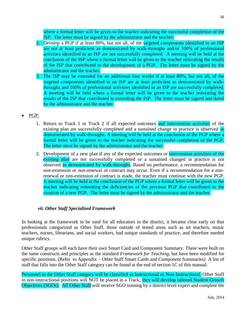where a formal letter will be given to the teacher indicating the successful completion of the ISP. The letter must be signed by the administrator and the teacher.

- 2. Develop a PGP if at least 80%, but not all, of the targeted components identified in an ISP are not at least proficient as demonstrated by walk-throughs and/or 100% of professional activities identified in an ISP are not successfully completed. A meeting will be held at the conclusion of the ISP where a formal letter will be given to the teacher reiterating the results of the ISP that contributed to the development of a PGP. The letter must be signed by the administrator and the teacher.
- 3. The ISP may be extended for an additional four weeks if at least 80%, but not all, of the targeted components identified in an ISP are at least proficient as demonstrated by walkthroughs and 100% of professional activities identified in an ISP are successfully completed. A meeting will be held where a formal letter will be given to the teacher reiterating the results of the ISP that contributed to extending the ISP. The letter must be signed and dated by the administrator and the teacher.
- PGP:
	- 1. Return to Track 1 or Track 2 if all expected outcomes and intervention activities of the existing plan are successfully completed and a sustained change in practice is observed as demonstrated by walk-throughs. A meeting will be held at the conclusion of the PGP where a formal letter will be given to the teacher indicating the successful completion of the PGP. The letter must be signed by the administrator and the teacher.
	- 2. Development of a new plan if any of the expected outcomes or intervention activities of the existing plan are not successfully completed or a sustained changed in practice is not observed as demonstrated by walk-throughs. Based on performance, a recommendation for non-extension or non-renewal of contract may occur. Even if a recommendation for a nonrenewal or non-extension of contract is made, the teacher must continue with the new PGP. A meeting will be held at the conclusion of the PGP where a formal letter will be given to the teacher indicating reiterating the deficiencies of the previous PGP that contributed to the creation of a new PGP. The letter must be signed by the administrator and the teacher.

#### *vii. Other Staff Specialized Framework*

In looking at the framework to be used for all educators in the district, it became clear early on that professionals categorized as Other Staff, those outside of tested areas such as art teachers, music teachers, nurses, librarians, and social workers, had unique standards of practice, and therefore needed unique rubrics.

Other Staff groups will each have their own Smart Card and Component Summary. These were built on the same constructs and principles as the standard *Framework for Teaching*, but have been modified for specific positions. (Refer to Appendix – Other Staff Smart Cards and Component Summaries) A list of staff that falls into the Other Staff category can be found at the end of section 1C of this manual.

Personnel in the Other Staff category will be classified as Instructional or Non-Instructional. Other Staff in non-instructional positions will NOT be placed in a Track; they will develop tailored Student Growth Objectives (SGOs). All Other Staff will receive SGO training by a district level expert and complete the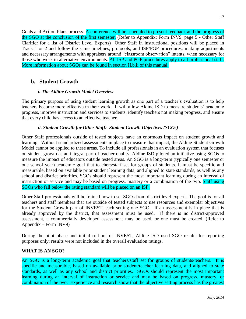Goals and Action Plans process. A conference will be scheduled to present feedback and the progress of the SGO at the conclusion of the first semester. (Refer to Appendix: Form INV9, page 5 - Other Staff Clarifier for a list of District Level Experts) Other Staff in instructional positions will be placed in Track 1 or 2 and follow the same timelines, protocols, and ISP/PGP procedures; making adjustments and necessary arrangements with appraisers around "classroom observation" intents, when necessary for those who work in alternative environments. All ISP and PGP procedures apply to all professional staff. More information about SGOs can be found in section II.b.ii of this manual.

#### **b. Student Growth**

#### *i. The Aldine Growth Model Overview*

The primary purpose of using student learning growth as one part of a teacher's evaluation is to help teachers become more effective in their work. It will allow Aldine ISD to measure students' academic progress, improve instruction and services to students, identify teachers not making progress, and ensure that every child has access to an effective teacher.

#### *ii. Student Growth for Other Staff: Student Growth Objectives (SGOs)*

Other Staff professionals outside of tested subjects have an enormous impact on student growth and learning. Without standardized assessments in place to measure that impact, the Aldine Student Growth Model cannot be applied to these areas. To include all professionals in an evaluation system that focuses on student growth as an integral part of teacher quality, Aldine ISD piloted an initiative using SGOs to measure the impact of educators outside tested areas. An SGO is a long-term (typically one semester or one school year) academic goal that teachers/staff set for groups of students. It must be specific and measurable, based on available prior student learning data, and aligned to state standards, as well as any school and district priorities. SGOs should represent the most important learning during an interval of instruction or service and may be based on progress, mastery or a combination of the two. Staff using SGOs who fall below the rating standard will be placed on an ISP.

Other Staff professionals will be trained how to set SGOs from district level experts. The goal is for all teachers and staff members that are outside of tested subjects to use resources and exemplar objectives for the Student Growth part of INVEST, each setting one SGO. If an assessment is in place that is already approved by the district, that assessment must be used. If there is no district-approved assessment, a commercially developed assessment may be used, or one must be created. (Refer to Appendix – Form INV9)

During the pilot phase and initial roll-out of INVEST, Aldine ISD used SGO results for reporting purposes only; results were not included in the overall evaluation ratings.

#### **WHAT IS AN SGO?**

An SGO is a long-term academic goal that teachers/staff set for groups of students/teachers. It is specific and measurable, based on available prior student/teacher learning data, and aligned to state standards, as well as any school and district priorities. SGOs should represent the most important learning during an interval of instruction or service and may be based on progress, mastery, or combination of the two. Experience and research show that the objective setting process has the greatest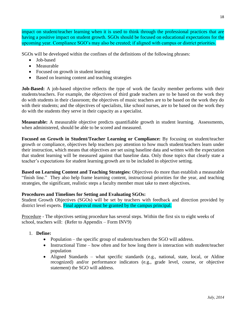impact on student/teacher learning when it is used to think through the professional practices that are having a positive impact on student growth. SGOs should be focused on educational expectations for the upcoming year. Compliance SGO's may also be created; if aligned with campus or district priorities.

SGOs will be developed within the confines of the definitions of the following phrases:

- Job-based
- Measurable
- Focused on growth in student learning
- Based on learning content and teaching strategies

**Job-Based:** A job-based objective reflects the type of work the faculty member performs with their students/teachers. For example, the objectives of third grade teachers are to be based on the work they do with students in their classroom; the objectives of music teachers are to be based on the work they do with their students; and the objectives of specialists, like school nurses, are to be based on the work they do with the students they serve in their capacity as a specialist.

**Measurable:** A measurable objective predicts quantifiable growth in student learning. Assessments, when administered, should be able to be scored and measured.

**Focused on Growth in Student/Teacher Learning or Compliance:** By focusing on student/teacher growth or compliance, objectives help teachers pay attention to how much student/teachers learn under their instruction, which means that objectives are set using baseline data and written with the expectation that student learning will be measured against that baseline data. Only those topics that clearly state a teacher's expectations for student learning growth are to be included in objective setting.

**Based on Learning Content and Teaching Strategies:** Objectives do more than establish a measurable "finish line." They also help frame learning content, instructional priorities for the year, and teaching strategies, the significant, realistic steps a faculty member must take to meet objectives.

#### **Procedures and Timelines for Setting and Evaluating SGOs:**

Student Growth Objectives (SGOs) will be set by teachers with feedback and direction provided by district level experts. Final approval must be granted by the campus principal.

Procedure - The objectives setting procedure has several steps. Within the first six to eight weeks of school, teachers will: (Refer to Appendix – Form INV9)

- 1. **Define:**
	- Population the specific group of students/teachers the SGO will address.
	- Instructional Time how often and for how long there is interaction with student/teacher population
	- Aligned Standards what specific standards (e.g., national, state, local, or Aldine recognized) and/or performance indicators (e.g., grade level, course, or objective statement) the SGO will address.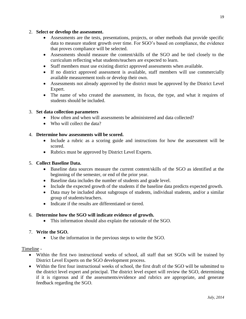#### 2. **Select or develop the assessment.**

- Assessments are the tests, presentations, projects, or other methods that provide specific data to measure student growth over time. For SGO's based on compliance, the evidence that proves compliance will be selected.
- Assessments should measure the content/skills of the SGO and be tied closely to the curriculum reflecting what students/teachers are expected to learn.
- Staff members must use existing district approved assessments when available.
- If no district approved assessment is available, staff members will use commercially available measurement tools or develop their own.
- Assessments not already approved by the district must be approved by the District Level Expert.
- The name of who created the assessment, its focus, the type, and what it requires of students should be included.

#### 3. **Set data collection parameters**

- How often and when will assessments be administered and data collected?
- Who will collect the data?

#### 4. **Determine how assessments will be scored.**

- Include a rubric as a scoring guide and instructions for how the assessment will be scored.
- Rubrics must be approved by District Level Experts.

#### 5. **Collect Baseline Data.**

- Baseline data sources measure the current content/skills of the SGO as identified at the beginning of the semester, or end of the prior year.
- Baseline data includes the number of students and grade level.
- Include the expected growth of the students if the baseline data predicts expected growth.
- Data may be included about subgroups of students, individual students, and/or a similar group of students/teachers.
- Indicate if the results are differentiated or tiered.

#### 6. **Determine how the SGO will indicate evidence of growth.**

This information should also explain the rationale of the SGO.

#### 7. **Write the SGO.**

Use the information in the previous steps to write the SGO.

#### Timeline -

- Within the first two instructional weeks of school, all staff that set SGOs will be trained by District Level Experts on the SGO development process.
- Within the first four instructional weeks of school, the first draft of the SGO will be submitted to the district level expert and principal. The district level expert will review the SGO, determining if it is rigorous and if the assessments/evidence and rubrics are appropriate, and generate feedback regarding the SGO.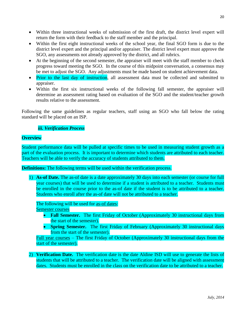- Within three instructional weeks of submission of the first draft, the district level expert will return the form with their feedback to the staff member and the principal.
- Within the first eight instructional weeks of the school year, the final SGO form is due to the district level expert and the principal and/or appraiser. The district level expert must approve the SGO, any assessments not already approved by the district, and all rubrics.
- At the beginning of the second semester, the appraiser will meet with the staff member to check progress toward meeting the SGO. In the course of this midpoint conversation, a consensus may be met to adjust the SGO. Any adjustments must be made based on student achievement data.
- Prior to the last day of instruction, all assessment data must be collected and submitted to appraiser.
- Within the first six instructional weeks of the following fall semester, the appraiser will determine an assessment rating based on evaluation of the SGO and the student/teacher growth results relative to the assessment.

Following the same guidelines as regular teachers, staff using an SGO who fall below the rating standard will be placed on an ISP.

#### *iii. Verification Process*

#### **Overview**

Student performance data will be pulled at specific times to be used in measuring student growth as a part of the evaluation process. It is important to determine which students are attributed to each teacher. Teachers will be able to verify the accuracy of students attributed to them.

#### **Definitions:** The following terms will be used within the verification process.

1) **As-of Date.** The as-of date is a date approximately 30 days into each semester (or course for full year courses) that will be used to determine if a student is attributed to a teacher. Students must be enrolled in the course prior to the as-of date if the student is to be attributed to a teacher. Students who enroll after the as-of date will not be attributed to a teacher.

# The following will be used for as-of dates:

Semester courses

- **Fall Semester.** The first Friday of October (Approximately 30 instructional days from the start of the semester).
- **Spring Semester.** The first Friday of February (Approximately 30 instructional days from the start of the semester).

Full year courses – The first Friday of October (Approximately 30 instructional days from the start of the semester).

2) **Verification Date.** The verification date is the date Aldine ISD will use to generate the lists of students that will be attributed to a teacher. The verification date will be aligned with assessment dates. Students must be enrolled in the class on the verification date to be attributed to a teacher.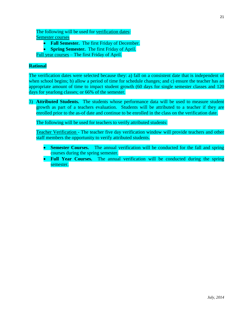The following will be used for verification dates: Semester courses

**• Fall Semester.** The first Friday of December.

**• Spring Semester.** The first Friday of April.

Full year courses – The first Friday of April.

#### **Rational**

The verification dates were selected because they: a) fall on a consistent date that is independent of when school begins; b) allow a period of time for schedule changes; and c) ensure the teacher has an appropriate amount of time to impact student growth (60 days for single semester classes and 120 days for yearlong classes; or 66% of the semester.

3) **Attributed Students.** The students whose performance data will be used to measure student growth as part of a teachers evaluation. Students will be attributed to a teacher if they are enrolled prior to the as-of date and continue to be enrolled in the class on the verification date.

The following will be used for teachers to verify attributed students:

Teacher Verification - The teacher five day verification window will provide teachers and other staff members the opportunity to verify attributed students.

- **Semester Courses.** The annual verification will be conducted for the fall and spring courses during the spring semester.
- Full Year Courses. The annual verification will be conducted during the spring semester.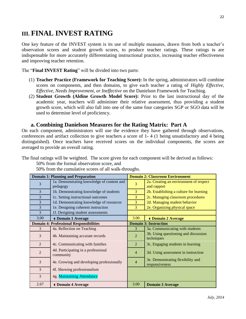# **III. FINAL INVEST RATING**

One key feature of the INVEST system is its use of multiple measures, drawn from both a teacher's observation scores and student growth scores, to produce teacher ratings. These ratings is are indispensable for more accurately differentiating instructional practice, increasing teacher effectiveness and improving teacher retention.

The "**Final INVEST Rating**" will be divided into two parts:

- (1) **Teacher Practice (Framework for Teaching Score):** In the spring, administrators will combine scores on components, and then domains, to give each teacher a rating of *Highly Effective, Effective, Needs Improvement, or Ineffective* on the Danielson Framework for Teaching.
- (2) **Student Growth (Aldine Growth Model Score):** Prior to the last instructional day of the academic year, teachers will administer their relative assessment, thus providing a student growth score, which will also fall into one of the same four categories SGP or SGO data will be used to determine level of proficiency.

#### **a. Combining Danielson Measures for the Rating Matrix: Part A**

On each component, administrators will use the evidence they have gathered through observations, conferences and artifact collection to give teachers a score of 1- 4 (1 being unsatisfactory and 4 being distinguished). Once teachers have received scores on the individual components, the scores are averaged to provide an overall rating.

The final ratings will be weighted. The score given for each component will be derived as follows:

50% from the formal observation score, and

50% from the cumulative scores of all walk-throughs.

|                | <b>Domain 1: Planning and Preparation</b>              | <b>Domain 2: Classroom Environment</b> |                                                       |  |  |
|----------------|--------------------------------------------------------|----------------------------------------|-------------------------------------------------------|--|--|
| 3              | 1a. Demonstrating knowledge of content and<br>pedagogy | 3                                      | 2a. Creating an environment of respect<br>and rapport |  |  |
| 3              |                                                        | 3                                      |                                                       |  |  |
|                | 1b. Demonstrating knowledge of students                |                                        | 2b. Establishing a culture for learning               |  |  |
| 3              | 1c. Setting instructional outcomes                     | 3                                      | 2c. Managing classroom procedures                     |  |  |
| 3              | 1d. Demonstrating knowledge of resources               | 3                                      | 2d. Managing student behavior                         |  |  |
| 3              | 1e. Designing coherent instruction                     | 3<br>2e. Organizing physical space     |                                                       |  |  |
| 3              | 1f. Designing student assessments                      |                                        |                                                       |  |  |
| 3.00           | <b>4 Domain 1 Average</b>                              | 3.00                                   | <b>4 Domain 2 Average</b>                             |  |  |
|                | <b>Domain 4: Professional Responsibilities</b>         |                                        | <b>Domain 3: Instruction</b>                          |  |  |
| 3              | 4a. Reflection on Teaching                             | 3                                      | 3a. Communicating with students                       |  |  |
| 3              | 4b. Maintaining accurate records                       | $\mathcal{D}_{\mathcal{L}}$            | 3b. Using questioning and discussion                  |  |  |
|                |                                                        |                                        | techniques                                            |  |  |
| 2              | 4c. Communicating with families                        | 2                                      | 3c. Engaging students in learning                     |  |  |
| $\overline{2}$ | 4d. Participating in a professional                    | $\overline{4}$                         | 3d. Using assessment in instruction                   |  |  |
|                | community                                              |                                        |                                                       |  |  |
| 3              | 4e. Growing and developing professionally              | $\overline{4}$                         | 3e. Demonstrating flexibility and<br>responsiveness   |  |  |
| 3              | 4f. Showing professionalism                            |                                        |                                                       |  |  |
| 3              | 4g. Maintaining Attendance                             |                                        |                                                       |  |  |
|                |                                                        |                                        |                                                       |  |  |
| 2.67           | <b>4 Domain 4 Average</b>                              | 3.00                                   | <b>Domain 3 Average</b>                               |  |  |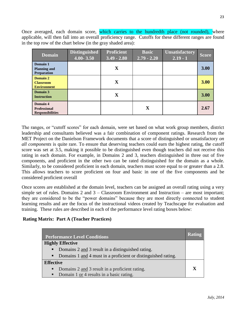Once averaged, each domain score, which carries to the hundredth place (not rounded), where applicable, will then fall into an overall proficiency range. Cutoffs for these different ranges are found in the top row of the chart below (in the gray shaded area):

| <b>Domain</b>                                              | <b>Distinguished</b><br>$4.00 - 3.50$ | <b>Proficient</b><br>$3.49 - 2.80$ | <b>Basic</b><br>$2.79 - 2.20$ | <b>Unsatisfactory</b><br>$2.19 - 1$ | <b>Score</b> |
|------------------------------------------------------------|---------------------------------------|------------------------------------|-------------------------------|-------------------------------------|--------------|
| Domain 1<br><b>Planning and</b><br><b>Preparation</b>      |                                       | $\mathbf X$                        |                               |                                     | 3.00         |
| Domain 2<br><b>Classroom</b><br><b>Environment</b>         |                                       | $\mathbf X$                        |                               |                                     | 3.00         |
| Domain 3<br><b>Instruction</b>                             |                                       | $\mathbf X$                        |                               |                                     | 3.00         |
| Domain 4<br><b>Professional</b><br><b>Responsibilities</b> |                                       |                                    | $\mathbf X$                   |                                     | 2.67         |

The ranges, or "cutoff scores" for each domain, were set based on what work group members, district leadership and consultants believed was a fair combination of component ratings. Research from the MET Project on the Danielson Framework documents that a score of distinguished or unsatisfactory *on all components* is quite rare. To ensure that deserving teachers could earn the highest rating, the cutoff score was set at 3.5, making it possible to be distinguished even though teachers did not receive this rating in each domain. For example, in Domains 2 and 3, teachers distinguished in three out of five components, and proficient in the other two can be rated distinguished for the domain as a whole. Similarly, to be considered proficient in each domain, teachers must score equal to or greater than a 2.8. This allows teachers to score proficient on four and basic in one of the five components and be considered proficient overall

Once scores are established at the domain level, teachers can be assigned an overall rating using a very simple set of rules. Domains 2 and 3 – Classroom Environment and Instruction – are most important; they are considered to be the "power domains" because they are most directly connected to student learning results and are the focus of the instructional videos created by Teachscape for evaluation and training. These rules are described in each of the performance level rating boxes below:

#### **Rating Matrix: Part A (Teacher Practices)**

| <b>Performance Level Conditions</b>                                             |             |  |
|---------------------------------------------------------------------------------|-------------|--|
| <b>Highly Effective</b>                                                         |             |  |
| Domains 2 and 3 result in a distinguished rating.<br>$\blacksquare$             |             |  |
| Domains 1 and 4 must in a proficient or distinguished rating.<br>$\blacksquare$ |             |  |
| <b>Effective</b>                                                                |             |  |
| Domains 2 and 3 result in a proficient rating.<br>٠                             | $\mathbf x$ |  |
| Domain 1 or 4 results in a basic rating.<br>٠                                   |             |  |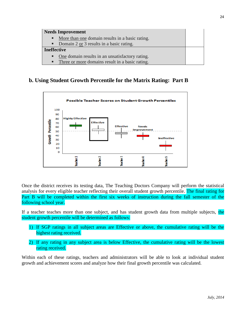| <b>Needs Improvement</b>                          |  |  |  |
|---------------------------------------------------|--|--|--|
| • More than one domain results in a basic rating. |  |  |  |
| • Domain 2 or 3 results in a basic rating.        |  |  |  |
| <b>Ineffective</b>                                |  |  |  |
| One domain results in an unsatisfactory rating.   |  |  |  |
| Three or more domains result in a basic rating.   |  |  |  |

### **b. Using Student Growth Percentile for the Matrix Rating: Part B**



Once the district receives its testing data, The Teaching Doctors Company will perform the statistical analysis for every eligible teacher reflecting their overall student growth percentile. The final rating for Part B will be completed within the first six weeks of instruction during the fall semester of the following school year.

If a teacher teaches more than one subject, and has student growth data from multiple subjects, the student growth percentile will be determined as follows:

- 1) If SGP ratings in all subject areas are Effective or above, the cumulative rating will be the highest rating received.
- 2) If any rating in any subject area is below Effective, the cumulative rating will be the lowest rating received.

Within each of these ratings, teachers and administrators will be able to look at individual student growth and achievement scores and analyze how their final growth percentile was calculated.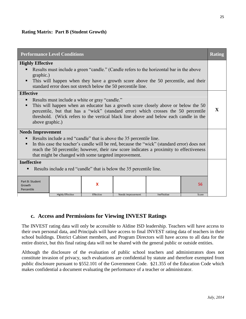#### **Rating Matrix: Part B (Student Growth)**

| <b>Performance Level Conditions</b>                                                                                                                                                                                                                                                                                                    |                                                                                          |           |                          |             | <b>Rating</b> |  |
|----------------------------------------------------------------------------------------------------------------------------------------------------------------------------------------------------------------------------------------------------------------------------------------------------------------------------------------|------------------------------------------------------------------------------------------|-----------|--------------------------|-------------|---------------|--|
| <b>Highly Effective</b>                                                                                                                                                                                                                                                                                                                |                                                                                          |           |                          |             |               |  |
|                                                                                                                                                                                                                                                                                                                                        | Results must include a green "candle." (Candle refers to the horizontal bar in the above |           |                          |             |               |  |
| graphic.)<br>This will happen when they have a growth score above the 50 percentile, and their<br>standard error does not stretch below the 50 percentile line.                                                                                                                                                                        |                                                                                          |           |                          |             |               |  |
| <b>Effective</b>                                                                                                                                                                                                                                                                                                                       |                                                                                          |           |                          |             |               |  |
| Results must include a white or gray "candle."<br>This will happen when an educator has a growth score closely above or below the 50<br>percentile, but that has a "wick" (standard error) which crosses the 50 percentile<br>threshold. (Wick refers to the vertical black line above and below each candle in the<br>above graphic.) |                                                                                          |           |                          | X           |               |  |
| <b>Needs Improvement</b>                                                                                                                                                                                                                                                                                                               |                                                                                          |           |                          |             |               |  |
| Results include a red "candle" that is above the 35 percentile line.<br>In this case the teacher's candle will be red, because the "wick" (standard error) does not<br>reach the 50 percentile; however, their raw score indicates a proximity to effectiveness                                                                        |                                                                                          |           |                          |             |               |  |
| that might be changed with some targeted improvement.                                                                                                                                                                                                                                                                                  |                                                                                          |           |                          |             |               |  |
| <b>Ineffective</b>                                                                                                                                                                                                                                                                                                                     |                                                                                          |           |                          |             |               |  |
| Results include a red "candle" that is below the 35 percentile line.<br>п                                                                                                                                                                                                                                                              |                                                                                          |           |                          |             |               |  |
| Part B: Student<br>Growth<br>Percentile                                                                                                                                                                                                                                                                                                |                                                                                          | X         |                          |             | 56            |  |
|                                                                                                                                                                                                                                                                                                                                        | <b>Highly Effective</b>                                                                  | Effective | <b>Needs Improvement</b> | Ineffective | Score         |  |

#### **c. Access and Permissions for Viewing INVEST Ratings**

The INVEST rating data will only be accessible to Aldine ISD leadership. Teachers will have access to their own personal data, and Principals will have access to final INVEST rating data of teachers in their school buildings. District Cabinet members, and Program Directors will have access to all data for the entire district, but this final rating data will not be shared with the general public or outside entities.

Although the disclosure of the evaluation of public school teachers and administrators does not constitute invasion of privacy, such evaluations are confidential by statute and therefore exempted from public disclosure pursuant to §552.101 of the Government Code. §21.355 of the Education Code which makes confidential a document evaluating the performance of a teacher or administrator.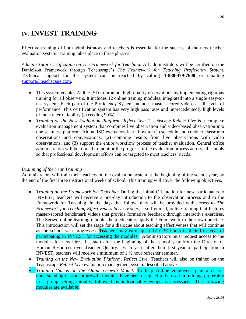# **IV. INVEST TRAINING**

Effective training of both administrators and teachers is essential for the success of the new teacher evaluation system. Training takes place in three phrases.

*Administrator Certification on The Framework for Teaching***.** All administrators will be certified on the Danielson Framework through Teachscape's *The Framework for Teaching Proficiency System.*  Technical support for the system can be reached by calling **1-888-479-7600** or emailing [support@teachscape.com.](mailto:support@teachscape.com)

- This system enables Aldine ISD to promote high-quality observations by implementing rigorous training for all observers. It includes 12 online training modules, integrated into a single easy-touse system. Each part of the Proficiency System includes master-scored videos at all levels of performance. This certification system has very high pass rates and unprecedentedly high levels of inter-rater reliability (exceeding 90%).
- *Training on the New Evaluation Platform, Reflect Live. Teachscape <i>Reflect Live* is a complete evaluation management system that combines live observation and video-based observation into one seamless platform. Aldine ISD evaluators learn how to: (1) schedule and conduct classroom observations and conversations; (2) combine results from live observations with video observations; and (3) support the entire workflow process of teacher evaluation. Central office administrators will be trained to monitor the progress of the evaluation process across all schools so that professional development efforts can be targeted to meet teachers' needs.

#### *Beginning of the Year Training*

Administrators will train their teachers on the evaluation system at the beginning of the school year, by the end of the first three instructional weeks of school. This training will cover the following objectives.

- *Training on the Framework for Teaching.* During the initial Orientation for new participants to INVEST, teachers will receive a one-day introduction to the observation process and to the Framework for Teaching. In the days that follow, they will be provided with access to *The Framework for Teaching Effectiveness Series/Focus*, a self-guided, online training that features master-scored benchmark videos that provide formative feedback through interactive exercises. The Series' online learning modules help educators apply the Framework to their own practice. This introduction will set the stage for a dialogue about teaching effectiveness that will continue as the school year progresses. Teachers may earn up to 12 CPE hours in their first year of participating in INVEST for accessing the modules. Administrators must request access to the modules for new hires that start after the beginning of the school year from the Director of Human Resources over Teacher Quality. Each year, after their first year of participation in INVEST, teachers will receive a minimum of 1 ½ hour refresher seminar.
- *Training on the New Evaluation Platform, Reflect Live.* Teachers will also be trained on the Teachscape *Reflect Live* evaluation management system described above.
- *Training Videos on the Aldine Growth Model*. To help Aldine employees gain a clearer understanding of student growth, modules have been designed to be used in training, preferably in a group setting initially, followed by individual viewings as necessary. The following modules are available: